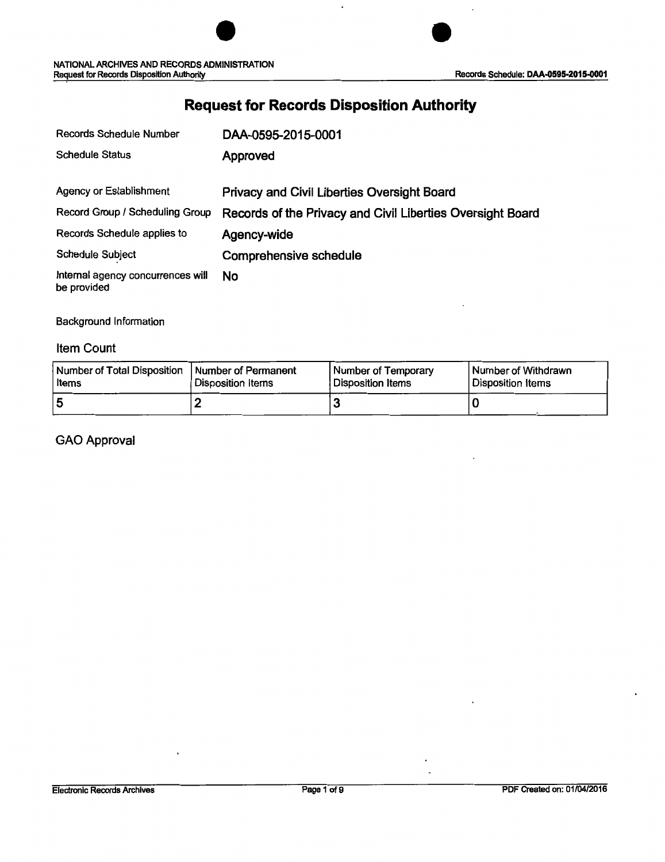# **Request for Records Disposition Authority**

| Records Schedule Number                          | DAA-0595-2015-0001                                         |
|--------------------------------------------------|------------------------------------------------------------|
| <b>Schedule Status</b>                           | Approved                                                   |
| Agency or Establishment                          | <b>Privacy and Civil Liberties Oversight Board</b>         |
| Record Group / Scheduling Group                  | Records of the Privacy and Civil Liberties Oversight Board |
| Records Schedule applies to                      | Agency-wide                                                |
| <b>Schedule Subject</b>                          | Comprehensive schedule                                     |
| Internal agency concurrences will<br>be provided | <b>No</b>                                                  |

Background Information

#### Item Count

| Number of Total Disposition   Number of Permanent | Disposition Items | Number of Temporary | Number of Withdrawn      |
|---------------------------------------------------|-------------------|---------------------|--------------------------|
| Items                                             |                   | Disposition Items   | <b>Disposition Items</b> |
|                                                   |                   |                     |                          |

### GAO Approval

÷,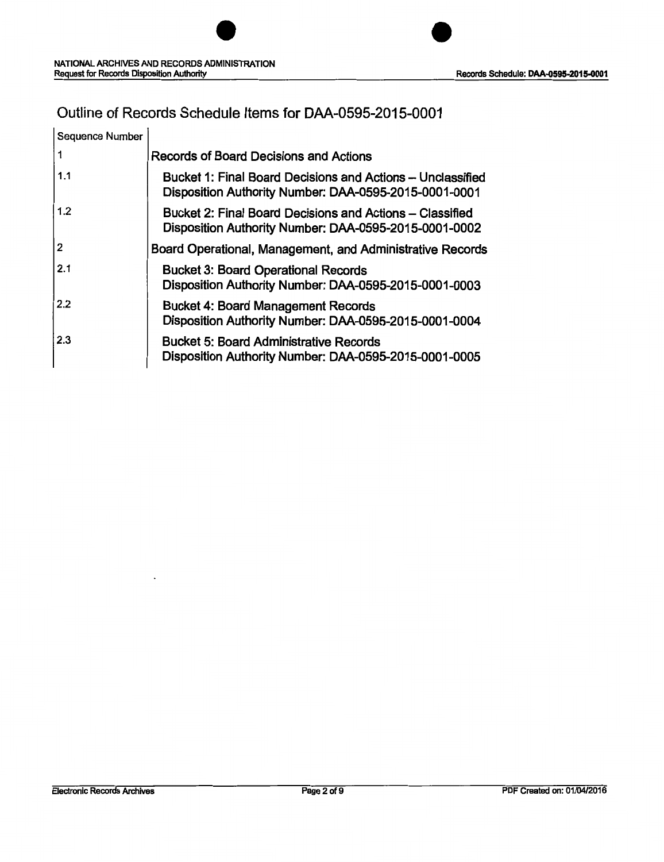## Outline of Records Schedule Items for DAA-0595-2015-0001

| Sequence Number |                                                                                                                     |
|-----------------|---------------------------------------------------------------------------------------------------------------------|
|                 | <b>Records of Board Decisions and Actions</b>                                                                       |
| 1.1             | Bucket 1: Final Board Decisions and Actions - Unclassified<br>Disposition Authority Number: DAA-0595-2015-0001-0001 |
| 1.2             | Bucket 2: Final Board Decisions and Actions – Classified<br>Disposition Authority Number: DAA-0595-2015-0001-0002   |
| 2               | Board Operational, Management, and Administrative Records                                                           |
| 2.1             | <b>Bucket 3: Board Operational Records</b><br>Disposition Authority Number: DAA-0595-2015-0001-0003                 |
| 2.2             | <b>Bucket 4: Board Management Records</b><br>Disposition Authority Number: DAA-0595-2015-0001-0004                  |
| 2.3             | <b>Bucket 5: Board Administrative Records</b><br>Disposition Authority Number: DAA-0595-2015-0001-0005              |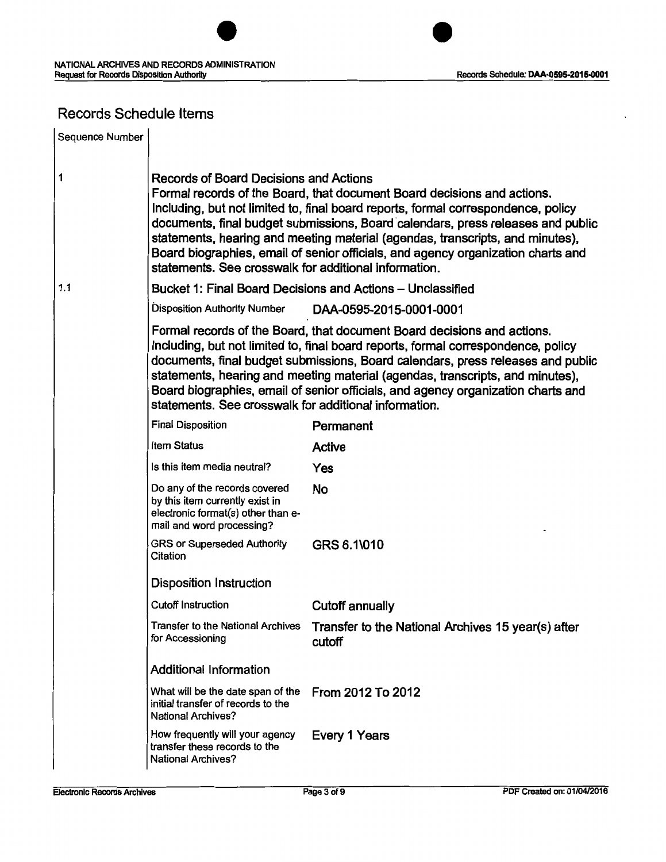

## Records Schedule Items

| Sequence Number |                                                                                                                                                                                                                                                                                                                                                                                                                                                                                                                         |                                                                                                                                                                                                                                                                                                                                                                                                                      |  |  |
|-----------------|-------------------------------------------------------------------------------------------------------------------------------------------------------------------------------------------------------------------------------------------------------------------------------------------------------------------------------------------------------------------------------------------------------------------------------------------------------------------------------------------------------------------------|----------------------------------------------------------------------------------------------------------------------------------------------------------------------------------------------------------------------------------------------------------------------------------------------------------------------------------------------------------------------------------------------------------------------|--|--|
| 1               | Records of Board Decisions and Actions<br>Formal records of the Board, that document Board decisions and actions.<br>Including, but not limited to, final board reports, formal correspondence, policy<br>documents, final budget submissions, Board calendars, press releases and public<br>statements, hearing and meeting material (agendas, transcripts, and minutes),<br>Board biographies, email of senior officials, and agency organization charts and<br>statements. See crosswalk for additional information. |                                                                                                                                                                                                                                                                                                                                                                                                                      |  |  |
| 1.1             |                                                                                                                                                                                                                                                                                                                                                                                                                                                                                                                         | Bucket 1: Final Board Decisions and Actions - Unclassified                                                                                                                                                                                                                                                                                                                                                           |  |  |
|                 | <b>Disposition Authority Number</b>                                                                                                                                                                                                                                                                                                                                                                                                                                                                                     | DAA-0595-2015-0001-0001                                                                                                                                                                                                                                                                                                                                                                                              |  |  |
|                 | statements. See crosswalk for additional information.                                                                                                                                                                                                                                                                                                                                                                                                                                                                   | Formal records of the Board, that document Board decisions and actions.<br>Including, but not limited to, final board reports, formal correspondence, policy<br>documents, final budget submissions, Board calendars, press releases and public<br>statements, hearing and meeting material (agendas, transcripts, and minutes),<br>Board biographies, email of senior officials, and agency organization charts and |  |  |
|                 | <b>Final Disposition</b>                                                                                                                                                                                                                                                                                                                                                                                                                                                                                                | Permanent                                                                                                                                                                                                                                                                                                                                                                                                            |  |  |
|                 | Item Status                                                                                                                                                                                                                                                                                                                                                                                                                                                                                                             | Active                                                                                                                                                                                                                                                                                                                                                                                                               |  |  |
|                 | Is this item media neutral?                                                                                                                                                                                                                                                                                                                                                                                                                                                                                             | Yes                                                                                                                                                                                                                                                                                                                                                                                                                  |  |  |
|                 | Do any of the records covered<br>by this item currently exist in<br>electronic format(s) other than e-<br>mail and word processing?                                                                                                                                                                                                                                                                                                                                                                                     | <b>No</b>                                                                                                                                                                                                                                                                                                                                                                                                            |  |  |
|                 | <b>GRS or Superseded Authority</b><br>Citation                                                                                                                                                                                                                                                                                                                                                                                                                                                                          | GRS 6.1\010                                                                                                                                                                                                                                                                                                                                                                                                          |  |  |
|                 | <b>Disposition Instruction</b>                                                                                                                                                                                                                                                                                                                                                                                                                                                                                          |                                                                                                                                                                                                                                                                                                                                                                                                                      |  |  |
|                 | <b>Cutoff Instruction</b>                                                                                                                                                                                                                                                                                                                                                                                                                                                                                               | <b>Cutoff annually</b>                                                                                                                                                                                                                                                                                                                                                                                               |  |  |
|                 | <b>Transfer to the National Archives</b><br>for Accessioning                                                                                                                                                                                                                                                                                                                                                                                                                                                            | Transfer to the National Archives 15 year(s) after<br>cutoff                                                                                                                                                                                                                                                                                                                                                         |  |  |
|                 | <b>Additional Information</b>                                                                                                                                                                                                                                                                                                                                                                                                                                                                                           |                                                                                                                                                                                                                                                                                                                                                                                                                      |  |  |
|                 | What will be the date span of the<br>initial transfer of records to the<br><b>National Archives?</b>                                                                                                                                                                                                                                                                                                                                                                                                                    | From 2012 To 2012                                                                                                                                                                                                                                                                                                                                                                                                    |  |  |
|                 | How frequently will your agency<br>transfer these records to the<br>National Archives?                                                                                                                                                                                                                                                                                                                                                                                                                                  | Every 1 Years                                                                                                                                                                                                                                                                                                                                                                                                        |  |  |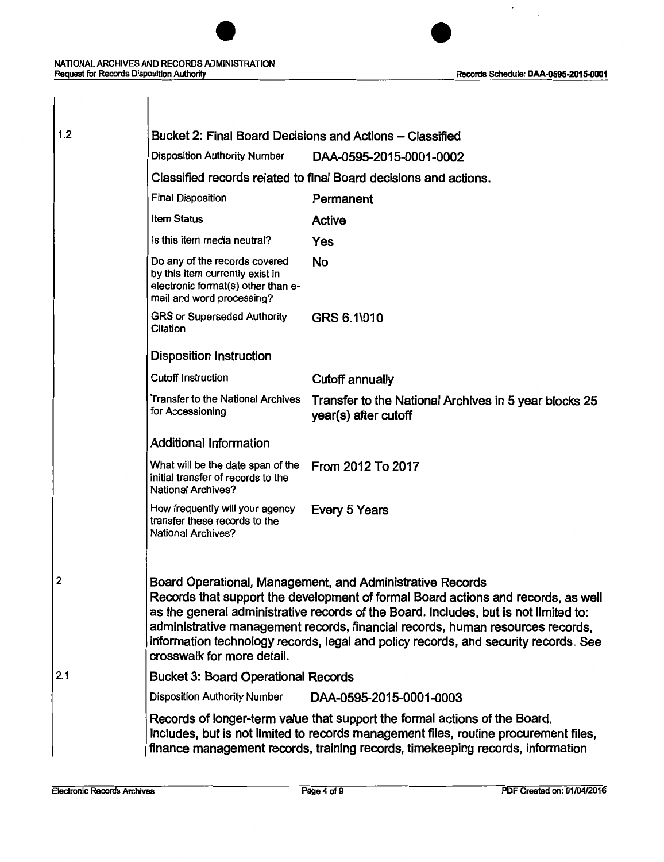#### NATIONAL ARCHIVES AND RECORDS ADMINISTRATION Request for Records Disposition Authority **Request for Records Schedule: DAA-0595-2015-0001**

| 1.2 | Bucket 2: Final Board Decisions and Actions – Classified                                                                            |                                                                                                                                                                                                                                                                                                                                                                                                                 |
|-----|-------------------------------------------------------------------------------------------------------------------------------------|-----------------------------------------------------------------------------------------------------------------------------------------------------------------------------------------------------------------------------------------------------------------------------------------------------------------------------------------------------------------------------------------------------------------|
|     | <b>Disposition Authority Number</b>                                                                                                 | DAA-0595-2015-0001-0002                                                                                                                                                                                                                                                                                                                                                                                         |
|     |                                                                                                                                     | Classified records related to final Board decisions and actions.                                                                                                                                                                                                                                                                                                                                                |
|     | <b>Final Disposition</b>                                                                                                            | Permanent                                                                                                                                                                                                                                                                                                                                                                                                       |
|     | <b>Item Status</b>                                                                                                                  | <b>Active</b>                                                                                                                                                                                                                                                                                                                                                                                                   |
|     | Is this item media neutral?                                                                                                         | <b>Yes</b>                                                                                                                                                                                                                                                                                                                                                                                                      |
|     | Do any of the records covered<br>by this item currently exist in<br>electronic format(s) other than e-<br>mail and word processing? | No                                                                                                                                                                                                                                                                                                                                                                                                              |
|     | <b>GRS or Superseded Authority</b><br>Citation                                                                                      | GRS 6.1\010                                                                                                                                                                                                                                                                                                                                                                                                     |
|     | <b>Disposition Instruction</b>                                                                                                      |                                                                                                                                                                                                                                                                                                                                                                                                                 |
|     | <b>Cutoff Instruction</b>                                                                                                           | <b>Cutoff annually</b>                                                                                                                                                                                                                                                                                                                                                                                          |
|     | <b>Transfer to the National Archives</b><br>for Accessioning                                                                        | Transfer to the National Archives in 5 year blocks 25<br>year(s) after cutoff                                                                                                                                                                                                                                                                                                                                   |
|     | <b>Additional Information</b>                                                                                                       |                                                                                                                                                                                                                                                                                                                                                                                                                 |
|     | What will be the date span of the<br>initial transfer of records to the<br><b>National Archives?</b>                                | From 2012 To 2017                                                                                                                                                                                                                                                                                                                                                                                               |
|     | How frequently will your agency<br>transfer these records to the<br><b>National Archives?</b>                                       | Every 5 Years                                                                                                                                                                                                                                                                                                                                                                                                   |
| 2   | crosswalk for more detail.                                                                                                          | Board Operational, Management, and Administrative Records<br>Records that support the development of formal Board actions and records, as well<br>as the general administrative records of the Board. Includes, but is not limited to:<br>administrative management records, financial records, human resources records,<br>information technology records, legal and policy records, and security records. See |
| 2.1 | <b>Bucket 3: Board Operational Records</b>                                                                                          |                                                                                                                                                                                                                                                                                                                                                                                                                 |
|     | <b>Disposition Authority Number</b>                                                                                                 | DAA-0595-2015-0001-0003                                                                                                                                                                                                                                                                                                                                                                                         |
|     |                                                                                                                                     | Records of longer-term value that support the formal actions of the Board.<br>Includes, but is not limited to records management files, routine procurement files,<br>finance management records, training records, timekeeping records, information                                                                                                                                                            |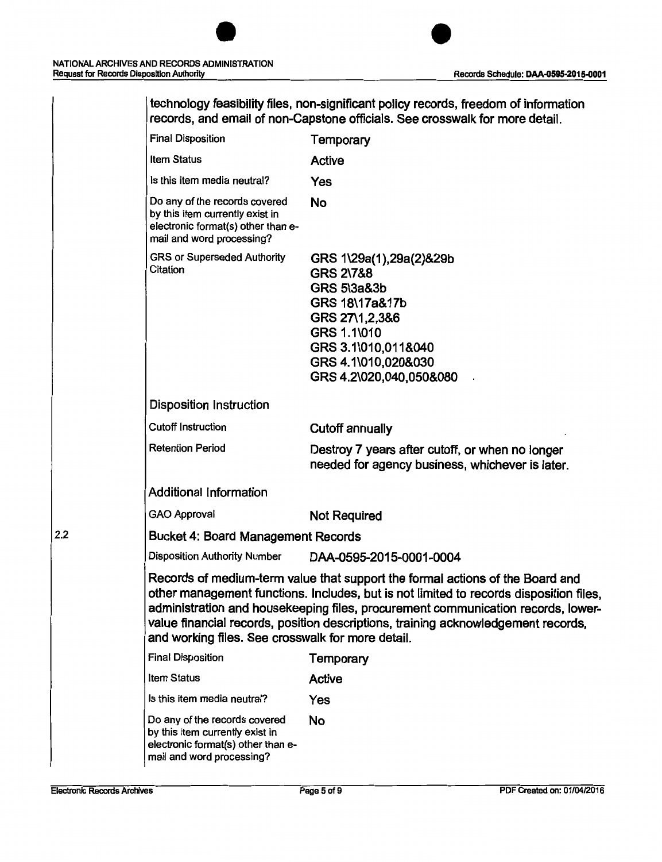| technology feasibility files, non-significant policy records, freedom of information<br>records, and email of non-Capstone officials. See crosswalk for more detail.                                                                                                                                                                                                                                  |                                                                                                                                                                                                       |  |
|-------------------------------------------------------------------------------------------------------------------------------------------------------------------------------------------------------------------------------------------------------------------------------------------------------------------------------------------------------------------------------------------------------|-------------------------------------------------------------------------------------------------------------------------------------------------------------------------------------------------------|--|
| <b>Final Disposition</b>                                                                                                                                                                                                                                                                                                                                                                              | Temporary                                                                                                                                                                                             |  |
| <b>Item Status</b>                                                                                                                                                                                                                                                                                                                                                                                    | <b>Active</b>                                                                                                                                                                                         |  |
| Is this item media neutral?                                                                                                                                                                                                                                                                                                                                                                           | Yes                                                                                                                                                                                                   |  |
| Do any of the records covered<br>by this item currently exist in<br>electronic format(s) other than e-<br>mail and word processing?                                                                                                                                                                                                                                                                   | <b>No</b>                                                                                                                                                                                             |  |
| <b>GRS or Superseded Authority</b><br>Citation                                                                                                                                                                                                                                                                                                                                                        | GRS 1\29a(1),29a(2)&29b<br><b>GRS 2\7&amp;8</b><br><b>GRS 5\3a&amp;3b</b><br>GRS 18\17a&17b<br>GRS 27\1,2,3&6<br>GRS 1.1\010<br>GRS 3.1\010,011&040<br>GRS 4.1\010,020&030<br>GRS 4.2\020,040,050&080 |  |
| <b>Disposition Instruction</b>                                                                                                                                                                                                                                                                                                                                                                        |                                                                                                                                                                                                       |  |
| <b>Cutoff Instruction</b>                                                                                                                                                                                                                                                                                                                                                                             | <b>Cutoff annually</b>                                                                                                                                                                                |  |
| <b>Retention Period</b>                                                                                                                                                                                                                                                                                                                                                                               | Destroy 7 years after cutoff, or when no longer<br>needed for agency business, whichever is later.                                                                                                    |  |
| <b>Additional Information</b>                                                                                                                                                                                                                                                                                                                                                                         |                                                                                                                                                                                                       |  |
| <b>GAO Approval</b>                                                                                                                                                                                                                                                                                                                                                                                   | <b>Not Required</b>                                                                                                                                                                                   |  |
| <b>Bucket 4: Board Management Records</b>                                                                                                                                                                                                                                                                                                                                                             |                                                                                                                                                                                                       |  |
| <b>Disposition Authority Number</b>                                                                                                                                                                                                                                                                                                                                                                   | DAA-0595-2015-0001-0004                                                                                                                                                                               |  |
| Records of medium-term value that support the formal actions of the Board and<br>other management functions. Includes, but is not limited to records disposition files,<br>administration and housekeeping files, procurement communication records, lower-<br>value financial records, position descriptions, training acknowledgement records,<br>and working files. See crosswalk for more detail. |                                                                                                                                                                                                       |  |
| <b>Final Disposition</b>                                                                                                                                                                                                                                                                                                                                                                              | Temporary                                                                                                                                                                                             |  |
| Item Status                                                                                                                                                                                                                                                                                                                                                                                           | <b>Active</b>                                                                                                                                                                                         |  |
| Is this item media neutral?                                                                                                                                                                                                                                                                                                                                                                           | Yes                                                                                                                                                                                                   |  |
| Do any of the records covered<br>by this item currently exist in<br>electronic format(s) other than e-<br>mail and word processing?                                                                                                                                                                                                                                                                   | No                                                                                                                                                                                                    |  |

 $2.2$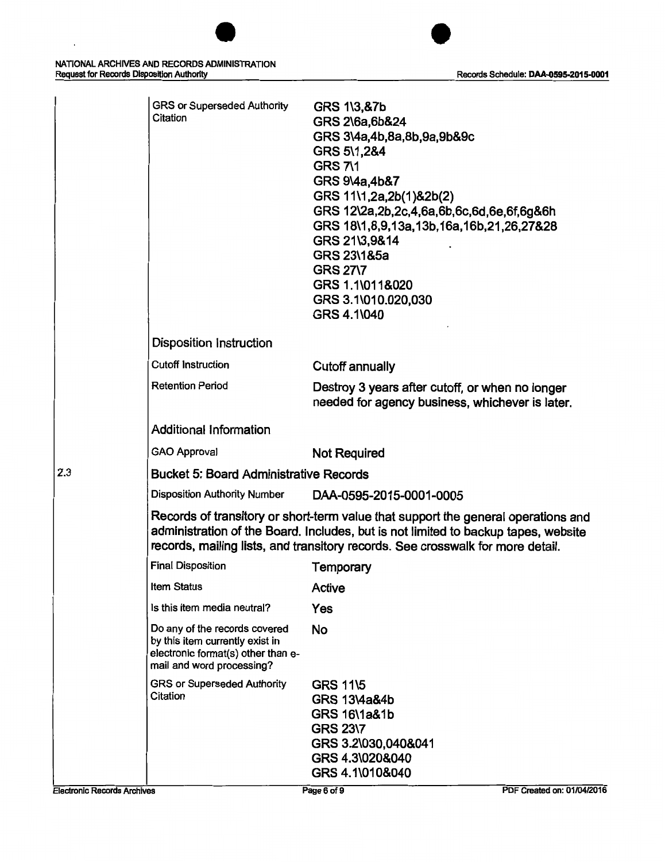

|                                    | <b>GRS or Superseded Authority</b><br>Citation                                                                                      | <b>GRS 1\3,&amp;7b</b><br>GRS 2\6a,6b&24<br>GRS 3\4a,4b,8a,8b,9a,9b&9c<br>GRS 5\1,2&4<br><b>GRS 7\1</b><br>GRS 9\4a,4b&7<br>GRS 11\1,2a,2b(1)&2b(2)<br>GRS 12\2a,2b,2c,4,6a,6b,6c,6d,6e,6f,6g&6h<br>GRS 18\1,8,9,13a,13b,16a,16b,21,26,27&28<br>GRS 21\3,9&14<br>GRS 23\1&5a<br><b>GRS 27\7</b><br>GRS 1.1\011&020<br>GRS 3.1\010.020,030<br>GRS 4.1\040 |
|------------------------------------|-------------------------------------------------------------------------------------------------------------------------------------|----------------------------------------------------------------------------------------------------------------------------------------------------------------------------------------------------------------------------------------------------------------------------------------------------------------------------------------------------------|
|                                    | <b>Disposition Instruction</b>                                                                                                      |                                                                                                                                                                                                                                                                                                                                                          |
|                                    | <b>Cutoff Instruction</b>                                                                                                           | <b>Cutoff annually</b>                                                                                                                                                                                                                                                                                                                                   |
|                                    | <b>Retention Period</b>                                                                                                             | Destroy 3 years after cutoff, or when no longer<br>needed for agency business, whichever is later.                                                                                                                                                                                                                                                       |
|                                    | <b>Additional Information</b>                                                                                                       |                                                                                                                                                                                                                                                                                                                                                          |
|                                    | <b>GAO Approval</b>                                                                                                                 | <b>Not Required</b>                                                                                                                                                                                                                                                                                                                                      |
| 2.3                                | <b>Bucket 5: Board Administrative Records</b>                                                                                       |                                                                                                                                                                                                                                                                                                                                                          |
|                                    | <b>Disposition Authority Number</b>                                                                                                 | DAA-0595-2015-0001-0005                                                                                                                                                                                                                                                                                                                                  |
|                                    |                                                                                                                                     | Records of transitory or short-term value that support the general operations and<br>administration of the Board. Includes, but is not limited to backup tapes, website<br>records, mailing lists, and transitory records. See crosswalk for more detail.                                                                                                |
|                                    | <b>Final Disposition</b>                                                                                                            | Temporary                                                                                                                                                                                                                                                                                                                                                |
|                                    | Item Status                                                                                                                         | <b>Active</b>                                                                                                                                                                                                                                                                                                                                            |
|                                    | Is this item media neutral?                                                                                                         | Yes                                                                                                                                                                                                                                                                                                                                                      |
|                                    | Do any of the records covered<br>by this item currently exist in<br>electronic format(s) other than e-<br>mail and word processing? | No                                                                                                                                                                                                                                                                                                                                                       |
|                                    | <b>GRS or Superseded Authority</b><br>Citation                                                                                      | <b>GRS 11\5</b><br><b>GRS 13\4a&amp;4b</b><br><b>GRS 16\1a&amp;1b</b><br><b>GRS 23\7</b><br>GRS 3.2\030,040&041<br>GRS 4.3\020&040<br>GRS 4.1\010&040                                                                                                                                                                                                    |
| <b>Electronic Records Archives</b> |                                                                                                                                     | PDF Created on: 01/04/2016<br>Page 6 of 9                                                                                                                                                                                                                                                                                                                |

 $\ddot{\phantom{a}}$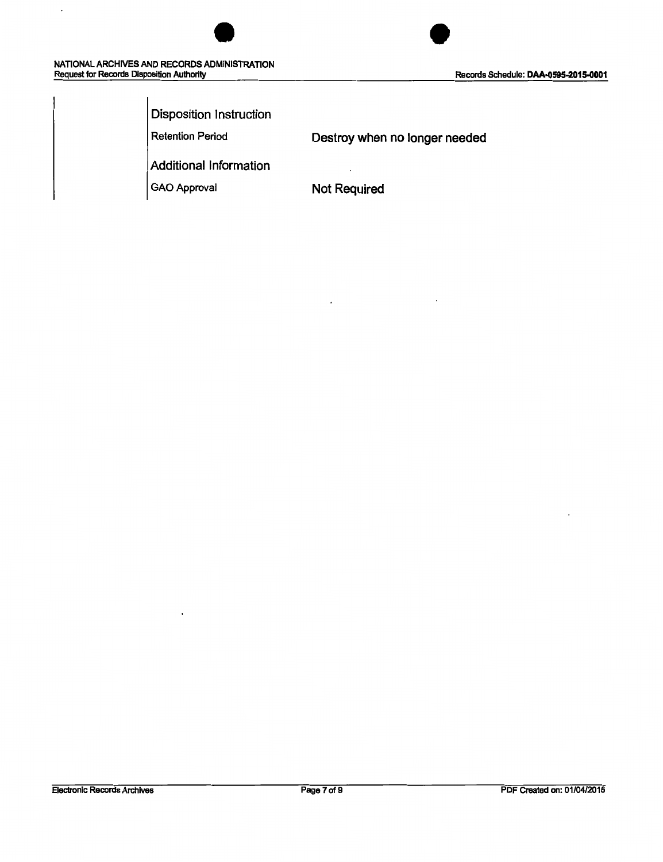$\ddot{\phantom{0}}$ 



| Disposition Instruction |                               |
|-------------------------|-------------------------------|
| <b>Retention Period</b> | Destroy when no longer needed |
| Additional Information  |                               |
| GAO Approval            | Not Required                  |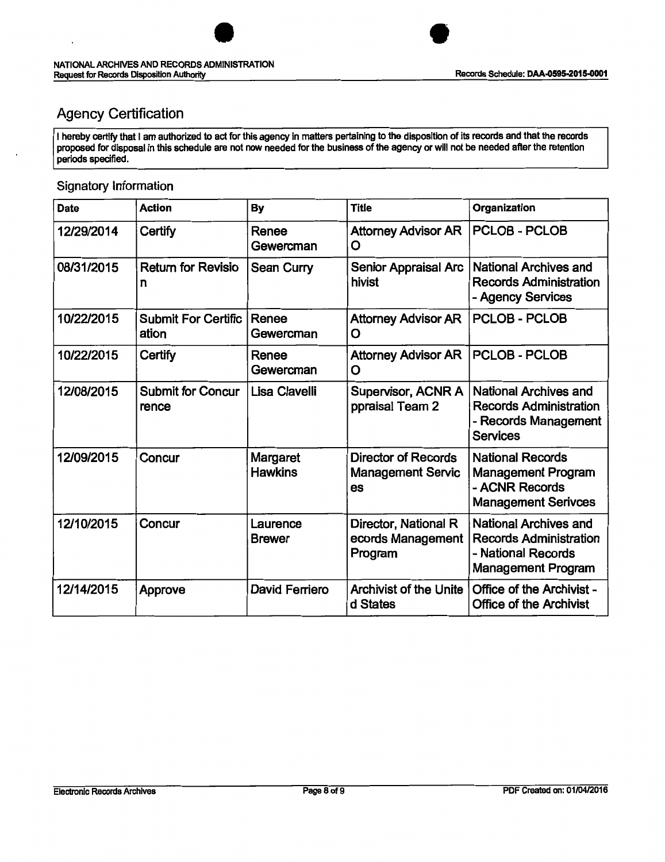# Agency Certification

 $\cdot$ 

I hereby certify that I am authorized to act for this agency in matters pertaining to the disposition of its records and that the records proposed for disposal in this schedule are not now needed for the business of the agency or will not be needed after the retention periods specified.

#### Signatory Information

| <b>Date</b> | <b>Action</b>                       | <b>By</b>                         | <b>Title</b>                                                 | Organization                                                                                              |
|-------------|-------------------------------------|-----------------------------------|--------------------------------------------------------------|-----------------------------------------------------------------------------------------------------------|
| 12/29/2014  | Certify                             | Renee<br>Gewercman                | <b>Attorney Advisor AR</b><br>O                              | <b>PCLOB - PCLOB</b>                                                                                      |
| 08/31/2015  | <b>Return for Revisio</b><br>n      | <b>Sean Curry</b>                 | <b>Senior Appraisal Arc</b><br>hivist                        | <b>National Archives and</b><br><b>Records Administration</b><br>- Agency Services                        |
| 10/22/2015  | <b>Submit For Certific</b><br>ation | Renee<br>Gewercman                | <b>Attorney Advisor AR</b><br>O                              | <b>PCLOB - PCLOB</b>                                                                                      |
| 10/22/2015  | Certify                             | Renee<br>Gewercman                | <b>Attorney Advisor AR</b><br>O                              | <b>PCLOB - PCLOB</b>                                                                                      |
| 12/08/2015  | <b>Submit for Concur</b><br>rence   | Lisa Clavelli                     | Supervisor, ACNR A<br>ppraisal Team 2                        | <b>National Archives and</b><br><b>Records Administration</b><br>- Records Management<br><b>Services</b>  |
| 12/09/2015  | Concur                              | <b>Margaret</b><br><b>Hawkins</b> | <b>Director of Records</b><br><b>Management Servic</b><br>es | <b>National Records</b><br><b>Management Program</b><br>- ACNR Records<br><b>Management Serivces</b>      |
| 12/10/2015  | Concur                              | Laurence<br><b>Brewer</b>         | Director, National R<br>ecords Management<br>Program         | National Archives and<br><b>Records Administration</b><br>- National Records<br><b>Management Program</b> |
| 12/14/2015  | <b>Approve</b>                      | <b>David Ferriero</b>             | <b>Archivist of the Unite</b><br>d States                    | <b>Office of the Archivist -</b><br><b>Office of the Archivist</b>                                        |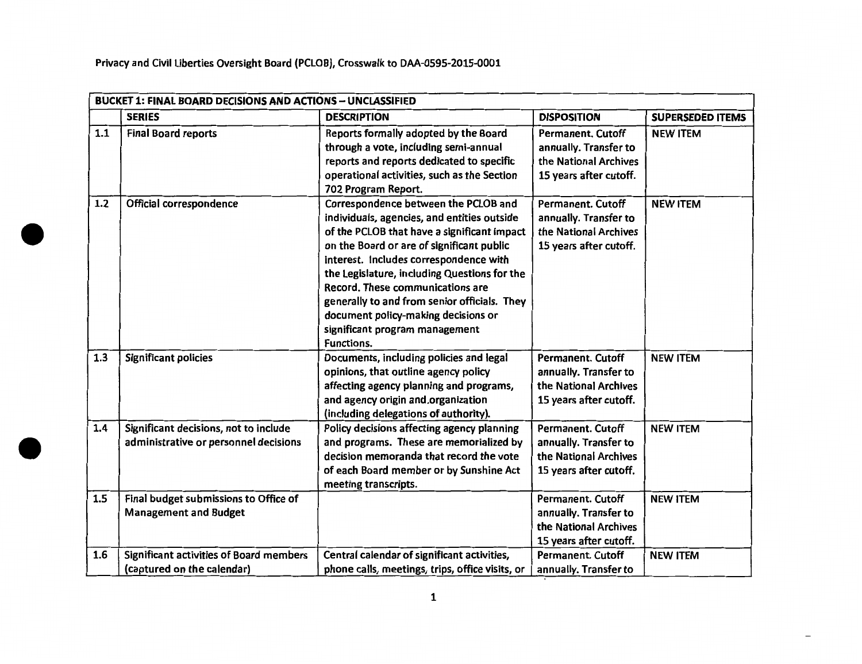•

•

|     | <b>BUCKET 1: FINAL BOARD DECISIONS AND ACTIONS - UNCLASSIFIED</b>              |                                                                                                                                                                                                                                                                                                                                                                                                                                                             |                                                                                                      |                         |  |  |
|-----|--------------------------------------------------------------------------------|-------------------------------------------------------------------------------------------------------------------------------------------------------------------------------------------------------------------------------------------------------------------------------------------------------------------------------------------------------------------------------------------------------------------------------------------------------------|------------------------------------------------------------------------------------------------------|-------------------------|--|--|
|     | <b>SERIES</b>                                                                  | <b>DESCRIPTION</b>                                                                                                                                                                                                                                                                                                                                                                                                                                          | <b>DISPOSITION</b>                                                                                   | <b>SUPERSEDED ITEMS</b> |  |  |
| 1.1 | <b>Final Board reports</b>                                                     | Reports formally adopted by the Board<br>through a vote, including semi-annual<br>reports and reports dedicated to specific<br>operational activities, such as the Section<br>702 Program Report.                                                                                                                                                                                                                                                           | <b>Permanent, Cutoff</b><br>annually. Transfer to<br>the National Archives<br>15 years after cutoff. | <b>NEW ITEM</b>         |  |  |
| 1.2 | Official correspondence                                                        | Correspondence between the PCLOB and<br>individuals, agencies, and entities outside<br>of the PCLOB that have a significant impact<br>on the Board or are of significant public<br>interest. Includes correspondence with<br>the Legislature, including Questions for the<br>Record. These communications are<br>generally to and from senior officials. They<br>document policy-making decisions or<br>significant program management<br><b>Functions.</b> | <b>Permanent. Cutoff</b><br>annually. Transfer to<br>the National Archives<br>15 years after cutoff. | <b>NEW ITEM</b>         |  |  |
| 1.3 | Significant policies                                                           | Documents, including policies and legal<br>opinions, that outline agency policy<br>affecting agency planning and programs,<br>and agency origin and organization<br>(including delegations of authority).                                                                                                                                                                                                                                                   | <b>Permanent. Cutoff</b><br>annually. Transfer to<br>the National Archives<br>15 years after cutoff. | <b>NEW ITEM</b>         |  |  |
| 1.4 | Significant decisions, not to include<br>administrative or personnel decisions | Policy decisions affecting agency planning<br>and programs. These are memorialized by<br>decision memoranda that record the vote<br>of each Board member or by Sunshine Act<br>meeting transcripts.                                                                                                                                                                                                                                                         | <b>Permanent. Cutoff</b><br>annually. Transfer to<br>the National Archives<br>15 years after cutoff. | <b>NEW ITEM</b>         |  |  |
| 1.5 | Final budget submissions to Office of<br><b>Management and Budget</b>          |                                                                                                                                                                                                                                                                                                                                                                                                                                                             | <b>Permanent. Cutoff</b><br>annually. Transfer to<br>the National Archives<br>15 years after cutoff. | <b>NEW ITEM</b>         |  |  |
| 1.6 | Significant activities of Board members<br>(captured on the calendar)          | Central calendar of significant activities,<br>phone calls, meetings, trips, office visits, or                                                                                                                                                                                                                                                                                                                                                              | <b>Permanent. Cutoff</b><br>annually. Transfer to                                                    | <b>NEW ITEM</b>         |  |  |

1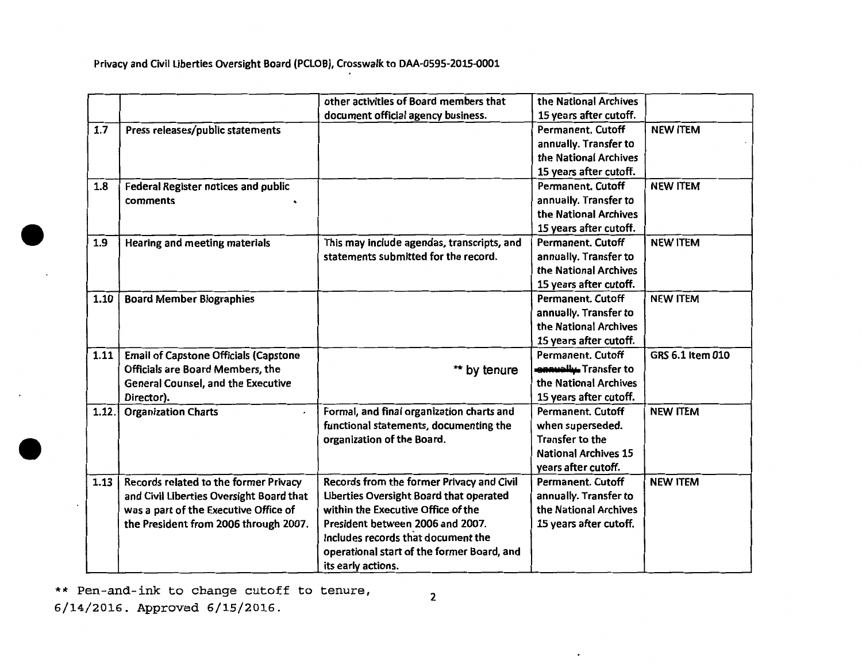|       |                                              | other activities of Board members that     | the National Archives        |                  |
|-------|----------------------------------------------|--------------------------------------------|------------------------------|------------------|
|       |                                              | document official agency business.         | 15 years after cutoff.       |                  |
| 1.7   | Press releases/public statements             |                                            | <b>Permanent. Cutoff</b>     | <b>NEW ITEM</b>  |
|       |                                              |                                            | annually. Transfer to        |                  |
|       |                                              |                                            | the National Archives        |                  |
|       |                                              |                                            | 15 years after cutoff.       |                  |
| 1.8   | Federal Register notices and public          |                                            | <b>Permanent. Cutoff</b>     | <b>NEW ITEM</b>  |
|       | comments                                     |                                            | annually. Transfer to        |                  |
|       |                                              |                                            | the National Archives        |                  |
|       |                                              |                                            | 15 years after cutoff.       |                  |
| 1.9   | Hearing and meeting materials                | This may include agendas, transcripts, and | <b>Permanent. Cutoff</b>     | <b>NEW ITEM</b>  |
|       |                                              | statements submitted for the record.       | annually. Transfer to        |                  |
|       |                                              |                                            | the National Archives        |                  |
|       |                                              |                                            | 15 years after cutoff.       |                  |
| 1.10  | <b>Board Member Biographies</b>              |                                            | <b>Permanent. Cutoff</b>     | <b>NEW ITEM</b>  |
|       |                                              |                                            | annually. Transfer to        |                  |
|       |                                              |                                            | the National Archives        |                  |
|       |                                              |                                            | 15 years after cutoff.       |                  |
| 1.11  | <b>Email of Capstone Officials (Capstone</b> |                                            | <b>Permanent. Cutoff</b>     | GRS 6.1 Item 010 |
|       | <b>Officials are Board Members, the</b>      | ** by tenure                               | <b>ennually.</b> Transfer to |                  |
|       | <b>General Counsel, and the Executive</b>    |                                            | the National Archives        |                  |
|       | Director).                                   |                                            | 15 years after cutoff.       |                  |
| 1.12. | <b>Organization Charts</b>                   | Formal, and final organization charts and  | <b>Permanent. Cutoff</b>     | <b>NEW ITEM</b>  |
|       |                                              | functional statements, documenting the     | when superseded.             |                  |
|       |                                              | organization of the Board.                 | Transfer to the              |                  |
|       |                                              |                                            | <b>National Archives 15</b>  |                  |
|       |                                              |                                            | years after cutoff.          |                  |
| 1.13  | Records related to the former Privacy        | Records from the former Privacy and Civil  | Permanent. Cutoff            | <b>NEW ITEM</b>  |
|       | and Civil Liberties Oversight Board that     | Liberties Oversight Board that operated    | annually. Transfer to        |                  |
|       | was a part of the Executive Office of        | within the Executive Office of the         | the National Archives        |                  |
|       | the President from 2006 through 2007.        | President between 2006 and 2007.           | 15 years after cutoff.       |                  |
|       |                                              | Includes records that document the         |                              |                  |
|       |                                              | operational start of the former Board, and |                              |                  |
|       |                                              | its early actions.                         |                              |                  |

\*\* Pen-and-ink to change cutoff to tenure, 2

6/14/2016. Approved 6/15/2016.

 $\overline{\phantom{a}}$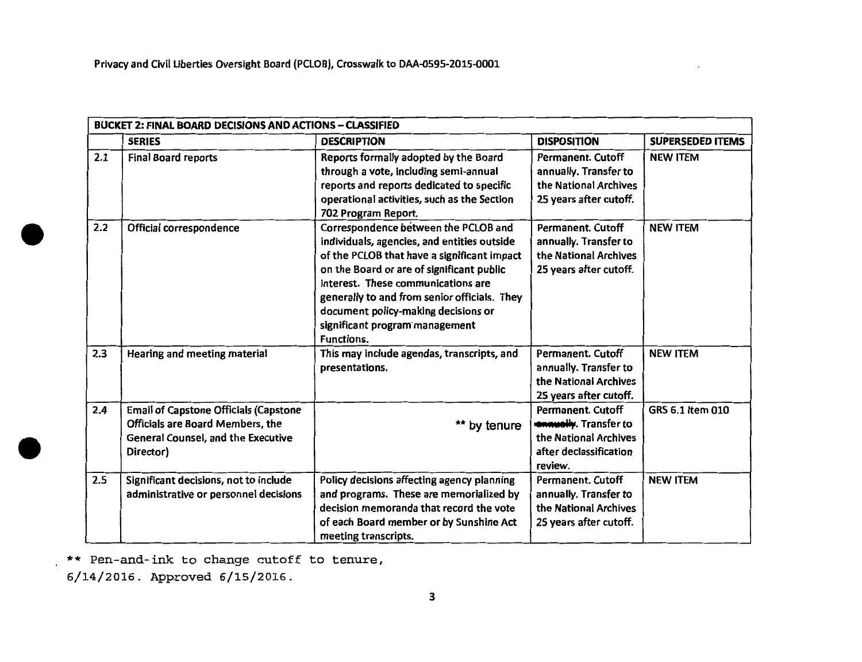|     | <b>BUCKET 2: FINAL BOARD DECISIONS AND ACTIONS - CLASSIFIED</b> |                                                                                |                                            |                         |
|-----|-----------------------------------------------------------------|--------------------------------------------------------------------------------|--------------------------------------------|-------------------------|
|     | <b>SERIES</b>                                                   | <b>DESCRIPTION</b>                                                             | <b>DISPOSITION</b>                         | <b>SUPERSEDED ITEMS</b> |
| 2.1 | <b>Final Board reports</b>                                      | Reports formally adopted by the Board<br>through a vote, including semi-annual | Permanent. Cutoff<br>annually. Transfer to | <b>NEW ITEM</b>         |
|     |                                                                 | reports and reports dedicated to specific                                      | the National Archives                      |                         |
|     |                                                                 | operational activities, such as the Section                                    | 25 years after cutoff.                     |                         |
|     |                                                                 | 702 Program Report.                                                            |                                            |                         |
| 2.2 | Official correspondence                                         | Correspondence between the PCLOB and                                           | <b>Permanent. Cutoff</b>                   | <b>NEW ITEM</b>         |
|     |                                                                 | individuals, agencies, and entities outside                                    | annually. Transfer to                      |                         |
|     |                                                                 | of the PCLOB that have a significant impact                                    | the National Archives                      |                         |
|     |                                                                 | on the Board or are of significant public                                      | 25 years after cutoff.                     |                         |
|     |                                                                 | interest. These communications are                                             |                                            |                         |
|     |                                                                 | generally to and from senior officials. They                                   |                                            |                         |
|     |                                                                 | document policy-making decisions or                                            |                                            |                         |
|     |                                                                 | significant program management                                                 |                                            |                         |
|     |                                                                 | <b>Functions.</b>                                                              |                                            |                         |
| 2.3 | Hearing and meeting material                                    | This may include agendas, transcripts, and                                     | <b>Permanent, Cutoff</b>                   | <b>NEW ITEM</b>         |
|     |                                                                 | presentations.                                                                 | annually. Transfer to                      |                         |
|     |                                                                 |                                                                                | the National Archives                      |                         |
|     |                                                                 |                                                                                | 25 years after cutoff.                     |                         |
| 2.4 | <b>Email of Capstone Officials (Capstone</b>                    |                                                                                | <b>Permanent, Cutoff</b>                   | GRS 6.1 Item 010        |
|     | <b>Officials are Board Members, the</b>                         | ** by tenure                                                                   | <b>ennually</b> . Transfer to              |                         |
|     | <b>General Counsel, and the Executive</b>                       |                                                                                | the National Archives                      |                         |
|     | Director)                                                       |                                                                                | after declassification                     |                         |
|     |                                                                 |                                                                                | review.                                    |                         |
| 2.5 | Significant decisions, not to include                           | Policy decisions affecting agency planning                                     | <b>Permanent. Cutoff</b>                   | <b>NEW ITEM</b>         |
|     | administrative or personnel decisions                           | and programs. These are memorialized by                                        | annually. Transfer to                      |                         |
|     |                                                                 | decision memoranda that record the vote                                        | the National Archives                      |                         |
|     |                                                                 | of each Board member or by Sunshine Act                                        | 25 years after cutoff.                     |                         |
|     |                                                                 | meeting transcripts.                                                           |                                            |                         |

\*\* Pen-and-ink to change cutoff to tenure, 6/14/2016. Approved 6/15/2016.

•

•

3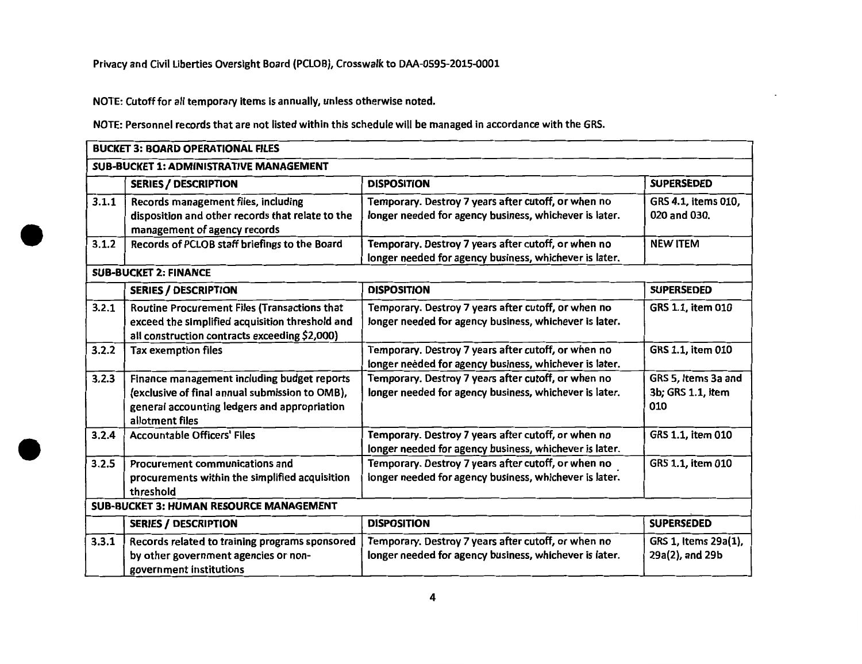NOTE: Cutoff for all temporary items is annually, unless otherwise noted.

•

•

NOTE: Personnel records that are not listed within this schedule will be managed in accordance with the GRS.

|                                                | <b>BUCKET 3: BOARD OPERATIONAL FILES</b>                                                                                                                         |                                                                                                               |                                                 |  |  |
|------------------------------------------------|------------------------------------------------------------------------------------------------------------------------------------------------------------------|---------------------------------------------------------------------------------------------------------------|-------------------------------------------------|--|--|
|                                                | <b>SUB-BUCKET 1: ADMINISTRATIVE MANAGEMENT</b>                                                                                                                   |                                                                                                               |                                                 |  |  |
|                                                | <b>SERIES / DESCRIPTION</b>                                                                                                                                      | <b>DISPOSITION</b>                                                                                            | <b>SUPERSEDED</b>                               |  |  |
| 3.1.1                                          | Records management files, including<br>disposition and other records that relate to the<br>management of agency records                                          | Temporary. Destroy 7 years after cutoff, or when no<br>longer needed for agency business, whichever is later. | GRS 4.1, items 010,<br>020 and 030.             |  |  |
| 3.1.2                                          | Records of PCLOB staff briefings to the Board                                                                                                                    | Temporary. Destroy 7 years after cutoff, or when no<br>longer needed for agency business, whichever is later. | <b>NEW ITEM</b>                                 |  |  |
|                                                | <b>SUB-BUCKET 2: FINANCE</b>                                                                                                                                     |                                                                                                               |                                                 |  |  |
|                                                | <b>SERIES / DESCRIPTION</b>                                                                                                                                      | <b>DISPOSITION</b>                                                                                            | <b>SUPERSEDED</b>                               |  |  |
| 3.2.1                                          | Routine Procurement Files (Transactions that<br>exceed the simplified acquisition threshold and<br>all construction contracts exceeding \$2,000)                 | Temporary. Destroy 7 years after cutoff, or when no<br>longer needed for agency business, whichever is later. | GRS 1.1, item 010                               |  |  |
| 3.2.2                                          | <b>Tax exemption files</b>                                                                                                                                       | Temporary. Destroy 7 years after cutoff, or when no<br>longer needed for agency business, whichever is later. | GRS 1.1, item 010                               |  |  |
| 3.2.3                                          | Finance management including budget reports<br>(exclusive of final annual submission to OMB),<br>general accounting ledgers and appropriation<br>allotment files | Temporary. Destroy 7 years after cutoff, or when no<br>longer needed for agency business, whichever is later. | GRS 5, Items 3a and<br>3b; GRS 1.1, item<br>010 |  |  |
| 3.2.4                                          | <b>Accountable Officers' Files</b>                                                                                                                               | Temporary. Destroy 7 years after cutoff, or when no<br>longer needed for agency business, whichever is later. | GRS 1.1, item 010                               |  |  |
| 3.2.5                                          | Procurement communications and<br>procurements within the simplified acquisition<br>threshold                                                                    | Temporary. Destroy 7 years after cutoff, or when no<br>longer needed for agency business, whichever is later. | GRS 1.1, item 010                               |  |  |
| <b>SUB-BUCKET 3: HUMAN RESOURCE MANAGEMENT</b> |                                                                                                                                                                  |                                                                                                               |                                                 |  |  |
|                                                | <b>SERIES / DESCRIPTION</b>                                                                                                                                      | <b>DISPOSITION</b>                                                                                            | <b>SUPERSEDED</b>                               |  |  |
| 3.3.1                                          | Records related to training programs sponsored<br>by other government agencies or non-<br>government institutions                                                | Temporary. Destroy 7 years after cutoff, or when no<br>longer needed for agency business, whichever is later. | GRS 1, Items 29a(1),<br>29a(2), and 29b         |  |  |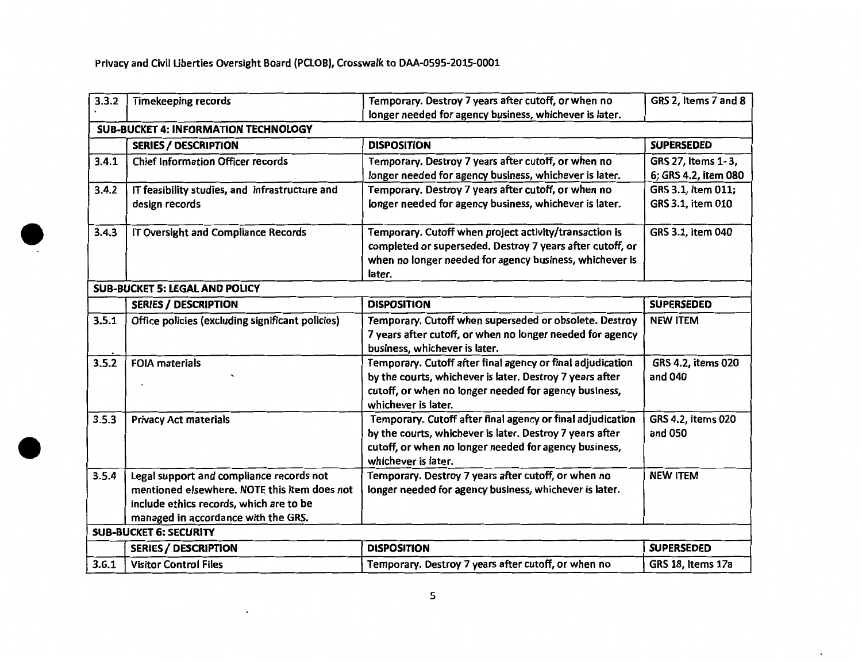$\cdot$ 

•

| 3.3.2 | <b>Timekeeping records</b>                       | Temporary. Destroy 7 years after cutoff, or when no        | GRS 2, Items 7 and 8 |
|-------|--------------------------------------------------|------------------------------------------------------------|----------------------|
|       |                                                  | longer needed for agency business, whichever is later.     |                      |
|       | <b>SUB-BUCKET 4: INFORMATION TECHNOLOGY</b>      |                                                            |                      |
|       | <b>SERIES / DESCRIPTION</b>                      | <b>DISPOSITION</b>                                         | <b>SUPERSEDED</b>    |
| 3.4.1 | <b>Chief Information Officer records</b>         | Temporary. Destroy 7 years after cutoff, or when no        | GRS 27, Items 1-3,   |
|       |                                                  | longer needed for agency business, whichever is later.     | 6; GRS 4.2, item 080 |
| 3.4.2 | IT feasibility studies, and infrastructure and   | Temporary. Destroy 7 years after cutoff, or when no        | GRS 3.1, item 011;   |
|       | design records                                   | longer needed for agency business, whichever is later.     | GRS 3.1, item 010    |
| 3.4.3 | IT Oversight and Compliance Records              | Temporary. Cutoff when project activity/transaction is     | GRS 3.1, item 040    |
|       |                                                  | completed or superseded. Destroy 7 years after cutoff, or  |                      |
|       |                                                  | when no longer needed for agency business, whichever is    |                      |
|       |                                                  | later.                                                     |                      |
|       | <b>SUB-BUCKET 5: LEGAL AND POLICY</b>            |                                                            |                      |
|       | <b>SERIES / DESCRIPTION</b>                      | <b>DISPOSITION</b>                                         | <b>SUPERSEDED</b>    |
| 3.5.1 | Office policies (excluding significant policies) | Temporary. Cutoff when superseded or obsolete. Destroy     | <b>NEW ITEM</b>      |
|       |                                                  | 7 years after cutoff, or when no longer needed for agency  |                      |
|       |                                                  | business, whichever is later.                              |                      |
| 3.5.2 | <b>FOIA materials</b>                            | Temporary. Cutoff after final agency or final adjudication | GRS 4.2, items 020   |
|       |                                                  | by the courts, whichever is later. Destroy 7 years after   | and 040              |
|       |                                                  | cutoff, or when no longer needed for agency business,      |                      |
|       |                                                  | whichever is later.                                        |                      |
| 3.5.3 | <b>Privacy Act materials</b>                     | Temporary. Cutoff after final agency or final adjudication | GRS 4.2, items 020   |
|       |                                                  | by the courts, whichever is later. Destroy 7 years after   | and 050              |
|       |                                                  | cutoff, or when no longer needed for agency business,      |                      |
|       |                                                  | whichever is later.                                        |                      |
| 3.5.4 | Legal support and compliance records not         | Temporary. Destroy 7 years after cutoff, or when no        | <b>NEW ITEM</b>      |
|       | mentioned elsewhere. NOTE this item does not     | longer needed for agency business, whichever is later.     |                      |
|       | include ethics records, which are to be          |                                                            |                      |
|       | managed in accordance with the GRS.              |                                                            |                      |
|       | <b>SUB-BUCKET 6: SECURITY</b>                    |                                                            |                      |
|       | <b>SERIES / DESCRIPTION</b>                      | <b>DISPOSITION</b>                                         | <b>SUPERSEDED</b>    |
| 3.6.1 | <b>Visitor Control Files</b>                     | Temporary. Destroy 7 years after cutoff, or when no        | GRS 18, Items 17a    |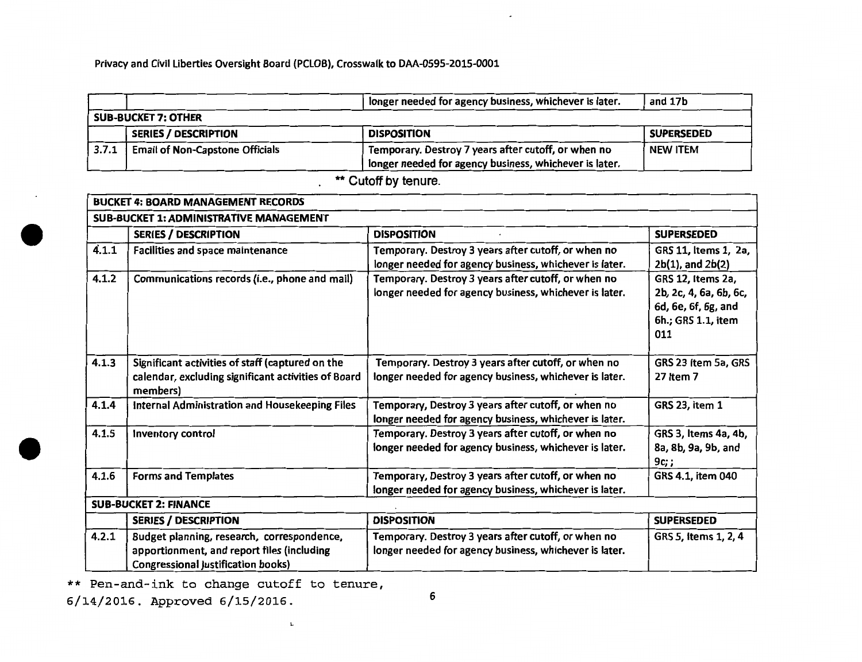|       |                                        | longer needed for agency business, whichever is later.                                                        | and 17b           |  |  |
|-------|----------------------------------------|---------------------------------------------------------------------------------------------------------------|-------------------|--|--|
|       | <b>SUB-BUCKET 7: OTHER</b>             |                                                                                                               |                   |  |  |
|       | <b>SERIES / DESCRIPTION</b>            | <b>DISPOSITION</b>                                                                                            | <b>SUPERSEDED</b> |  |  |
| 3.7.1 | <b>Email of Non-Capstone Officials</b> | Temporary. Destroy 7 years after cutoff, or when no<br>longer needed for agency business, whichever is later. | <b>NEW ITEM</b>   |  |  |

\*\* Cutoff by tenure.

| <b>BUCKET 4: BOARD MANAGEMENT RECORDS</b> |                                                                                                                                |                                                                                                               |                                                                                                 |  |  |
|-------------------------------------------|--------------------------------------------------------------------------------------------------------------------------------|---------------------------------------------------------------------------------------------------------------|-------------------------------------------------------------------------------------------------|--|--|
|                                           | <b>SUB-BUCKET 1: ADMINISTRATIVE MANAGEMENT</b>                                                                                 |                                                                                                               |                                                                                                 |  |  |
|                                           | <b>SERIES / DESCRIPTION</b>                                                                                                    | <b>DISPOSITION</b>                                                                                            | <b>SUPERSEDED</b>                                                                               |  |  |
| 4.1.1                                     | Facilities and space maintenance                                                                                               | Temporary. Destroy 3 years after cutoff, or when no<br>longer needed for agency business, whichever is later. | GRS 11, Items 1, 2a,<br>$2b(1)$ , and $2b(2)$                                                   |  |  |
| 4.1.2                                     | Communications records (i.e., phone and mail)                                                                                  | Temporary. Destroy 3 years after cutoff, or when no<br>longer needed for agency business, whichever is later. | GRS 12, Items 2a,<br>2b, 2c, 4, 6a, 6b, 6c,<br>6d, 6e, 6f, 6g, and<br>6h.; GRS 1.1, item<br>011 |  |  |
| 4.1.3                                     | Significant activities of staff (captured on the<br>calendar, excluding significant activities of Board<br>members)            | Temporary. Destroy 3 years after cutoff, or when no<br>longer needed for agency business, whichever is later. | GRS 23 Item 5a, GRS<br>27 Item 7                                                                |  |  |
| 4.1.4                                     | Internal Administration and Housekeeping Files                                                                                 | Temporary, Destroy 3 years after cutoff, or when no<br>longer needed for agency business, whichever is later. | GRS 23, item 1                                                                                  |  |  |
| 4.1.5                                     | Inventory control                                                                                                              | Temporary. Destroy 3 years after cutoff, or when no<br>longer needed for agency business, whichever is later. | GRS 3, Items 4a, 4b,<br>8a, 8b, 9a, 9b, and<br>9c;                                              |  |  |
| 4.1.6                                     | <b>Forms and Templates</b>                                                                                                     | Temporary, Destroy 3 years after cutoff, or when no<br>longer needed for agency business, whichever is later. | GRS 4.1, item 040                                                                               |  |  |
|                                           | <b>SUB-BUCKET 2: FINANCE</b>                                                                                                   |                                                                                                               |                                                                                                 |  |  |
|                                           | <b>SERIES / DESCRIPTION</b>                                                                                                    | <b>DISPOSITION</b>                                                                                            | <b>SUPERSEDED</b>                                                                               |  |  |
| 4.2.1                                     | Budget planning, research, correspondence,<br>apportionment, and report files (including<br>Congressional justification books) | Temporary. Destroy 3 years after cutoff, or when no<br>longer needed for agency business, whichever is later. | GRS 5, items 1, 2, 4                                                                            |  |  |

\*\* Pen-and-ink to change cutoff to tenure,

1..

<sup>6</sup> 6/14/2016. Approved 6/15/2016.

•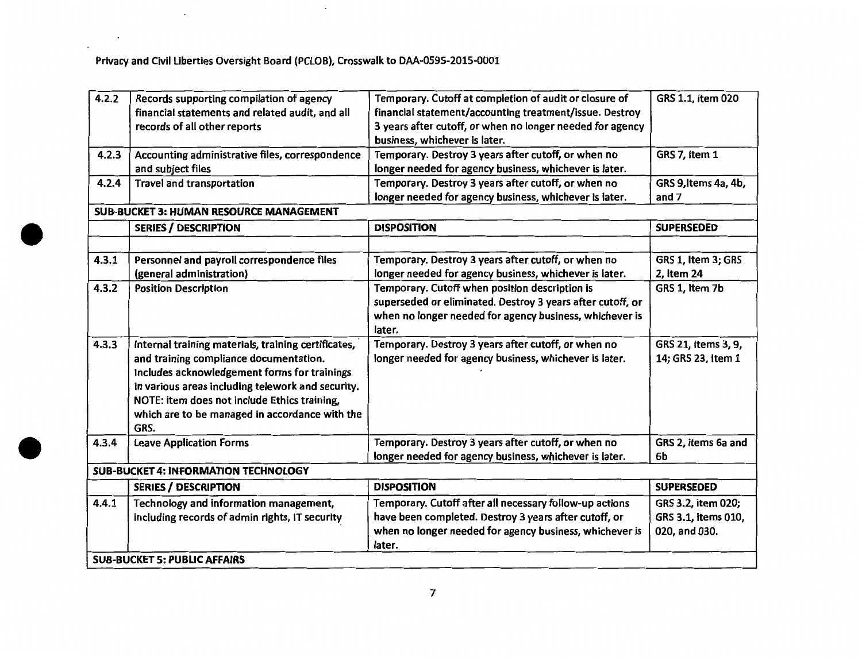$\sim 10$ 

 $\sim$   $\sim$ 

 $\epsilon$ 

 $\sim 10$ 

| 4.2.2 | Records supporting compilation of agency            | Temporary. Cutoff at completion of audit or closure of     | GRS 1.1, item 020    |
|-------|-----------------------------------------------------|------------------------------------------------------------|----------------------|
|       | financial statements and related audit, and all     | financial statement/accounting treatment/issue. Destroy    |                      |
|       | records of all other reports                        | 3 years after cutoff, or when no longer needed for agency  |                      |
|       |                                                     | business, whichever is later.                              |                      |
| 4.2.3 | Accounting administrative files, correspondence     | Temporary. Destroy 3 years after cutoff, or when no        | GRS 7, Item 1        |
|       | and subject files                                   | longer needed for agency business, whichever is later.     |                      |
| 4.2.4 | <b>Travel and transportation</b>                    | Temporary. Destroy 3 years after cutoff, or when no        | GRS 9, Items 4a, 4b, |
|       |                                                     | longer needed for agency business, whichever is later.     | and 7                |
|       | <b>SUB-BUCKET 3: HUMAN RESOURCE MANAGEMENT</b>      |                                                            |                      |
|       | <b>SERIES / DESCRIPTION</b>                         | <b>DISPOSITION</b>                                         | <b>SUPERSEDED</b>    |
|       |                                                     |                                                            |                      |
| 4.3.1 | Personnel and payroll correspondence files          | Temporary. Destroy 3 years after cutoff, or when no        | GRS 1, Item 3; GRS   |
|       | (general administration)                            | longer needed for agency business, whichever is later.     | 2, Item 24           |
| 4.3.2 | <b>Position Description</b>                         | Temporary. Cutoff when position description is             | GRS 1, Item 7b       |
|       |                                                     | superseded or eliminated. Destroy 3 years after cutoff, or |                      |
|       |                                                     | when no longer needed for agency business, whichever is    |                      |
|       |                                                     | later.                                                     |                      |
| 4.3.3 | Internal training materials, training certificates, | Temporary. Destroy 3 years after cutoff, or when no        | GRS 21, Items 3, 9,  |
|       | and training compliance documentation.              | longer needed for agency business, whichever is later.     | 14; GRS 23, Item 1   |
|       | Includes acknowledgement forms for trainings        |                                                            |                      |
|       | in various areas including telework and security.   |                                                            |                      |
|       | NOTE: item does not include Ethics training,        |                                                            |                      |
|       | which are to be managed in accordance with the      |                                                            |                      |
|       | GRS.                                                |                                                            |                      |
| 4.3.4 | <b>Leave Application Forms</b>                      | Temporary. Destroy 3 years after cutoff, or when no        | GRS 2, items 6a and  |
|       |                                                     | longer needed for agency business, whichever is later.     | 6b                   |
|       | <b>SUB-BUCKET 4: INFORMATION TECHNOLOGY</b>         |                                                            |                      |
|       | <b>SERIES / DESCRIPTION</b>                         | <b>DISPOSITION</b>                                         | <b>SUPERSEDED</b>    |
| 4.4.1 | Technology and information management,              | Temporary. Cutoff after all necessary follow-up actions    | GRS 3.2, item 020;   |
|       | including records of admin rights, IT security      | have been completed. Destroy 3 years after cutoff, or      | GRS 3.1, items 010,  |
|       |                                                     | when no longer needed for agency business, whichever is    | 020, and 030.        |
|       |                                                     | later.                                                     |                      |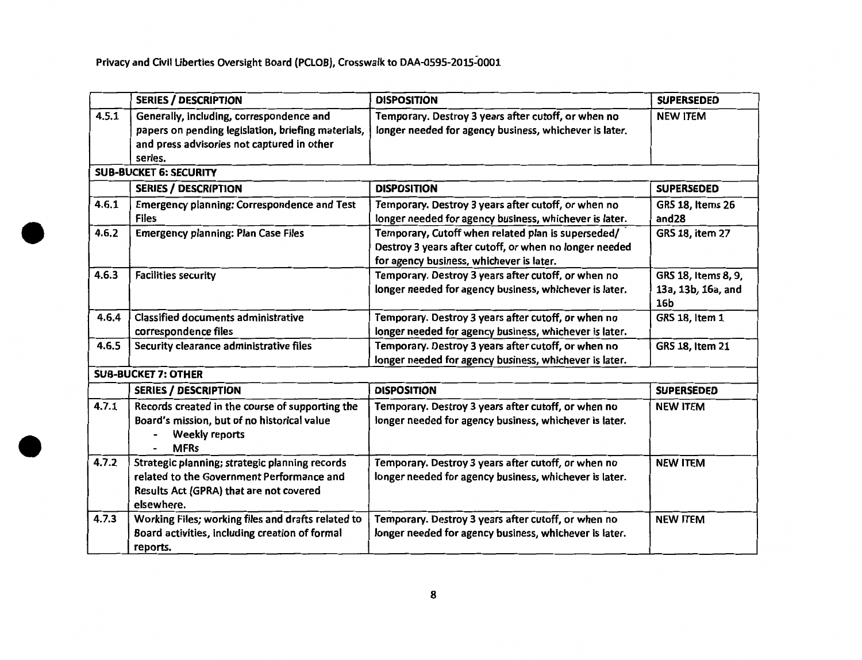•

|       | <b>SERIES / DESCRIPTION</b>                                                                                                                             | <b>DISPOSITION</b>                                                                                                                                       | <b>SUPERSEDED</b>                                |
|-------|---------------------------------------------------------------------------------------------------------------------------------------------------------|----------------------------------------------------------------------------------------------------------------------------------------------------------|--------------------------------------------------|
| 4.5.1 | Generally, including, correspondence and<br>papers on pending legislation, briefing materials,<br>and press advisories not captured in other<br>series. | Temporary. Destroy 3 years after cutoff, or when no<br>longer needed for agency business, whichever is later.                                            | <b>NEW ITEM</b>                                  |
|       | <b>SUB-BUCKET 6: SECURITY</b>                                                                                                                           |                                                                                                                                                          |                                                  |
|       | <b>SERIES / DESCRIPTION</b>                                                                                                                             | <b>DISPOSITION</b>                                                                                                                                       | <b>SUPERSEDED</b>                                |
| 4.6.1 | <b>Emergency planning: Correspondence and Test</b><br><b>Files</b>                                                                                      | Temporary. Destroy 3 years after cutoff, or when no<br>longer needed for agency business, whichever is later.                                            | <b>GRS 18, Items 26</b><br>and <sub>28</sub>     |
| 4.6.2 | <b>Emergency planning: Plan Case Files</b>                                                                                                              | Temporary, Cutoff when related plan is superseded/<br>Destroy 3 years after cutoff, or when no longer needed<br>for agency business, whichever is later. | GRS 18, item 27                                  |
| 4.6.3 | <b>Facilities security</b>                                                                                                                              | Temporary. Destroy 3 years after cutoff, or when no<br>longer needed for agency business, whichever is later.                                            | GRS 18, Items 8, 9,<br>13a, 13b, 16a, and<br>16b |
| 4.6.4 | <b>Classified documents administrative</b><br>correspondence files                                                                                      | Temporary. Destroy 3 years after cutoff, or when no<br>longer needed for agency business, whichever is later.                                            | GRS 18, Item 1                                   |
| 4.6.5 | Security clearance administrative files                                                                                                                 | Temporary. Destroy 3 years after cutoff, or when no<br>longer needed for agency business, whichever is later.                                            | <b>GRS 18, Item 21</b>                           |
|       | <b>SUB-BUCKET 7: OTHER</b>                                                                                                                              |                                                                                                                                                          |                                                  |
|       | <b>SERIES / DESCRIPTION</b>                                                                                                                             | <b>DISPOSITION</b>                                                                                                                                       | <b>SUPERSEDED</b>                                |
| 4.7.1 | Records created in the course of supporting the<br>Board's mission, but of no historical value<br><b>Weekly reports</b><br><b>MFRs</b>                  | Temporary. Destroy 3 years after cutoff, or when no<br>longer needed for agency business, whichever is later.                                            | <b>NEW ITEM</b>                                  |
| 4.7.2 | Strategic planning; strategic planning records<br>related to the Government Performance and<br>Results Act (GPRA) that are not covered<br>elsewhere.    | Temporary. Destroy 3 years after cutoff, or when no<br>longer needed for agency business, whichever is later.                                            | <b>NEW ITEM</b>                                  |
| 4.7.3 | Working Files; working files and drafts related to<br>Board activities, including creation of formal<br>reports.                                        | Temporary. Destroy 3 years after cutoff, or when no<br>longer needed for agency business, whichever is later.                                            | <b>NEW ITEM</b>                                  |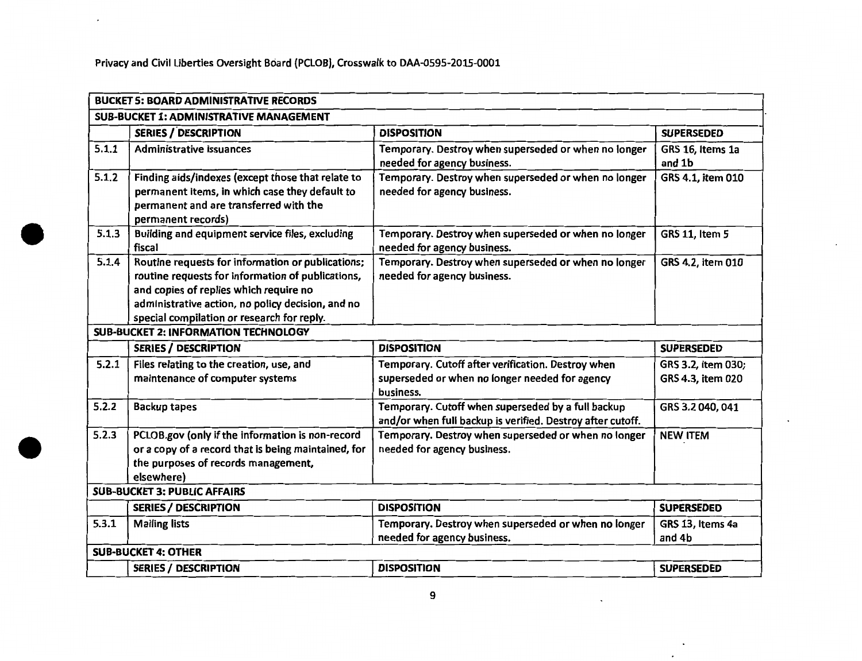| <b>BUCKET 5: BOARD ADMINISTRATIVE RECORDS</b> |                                                                                                         |                                                                                                                    |                       |
|-----------------------------------------------|---------------------------------------------------------------------------------------------------------|--------------------------------------------------------------------------------------------------------------------|-----------------------|
|                                               | <b>SUB-BUCKET 1: ADMINISTRATIVE MANAGEMENT</b>                                                          |                                                                                                                    |                       |
|                                               | <b>SERIES / DESCRIPTION</b>                                                                             | <b>DISPOSITION</b>                                                                                                 | <b>SUPERSEDED</b>     |
| 5.1.1                                         | <b>Administrative issuances</b>                                                                         | Temporary. Destroy when superseded or when no longer                                                               | GRS 16, Items 1a      |
|                                               |                                                                                                         | needed for agency business.                                                                                        | and 1b                |
| 5.1.2                                         | Finding aids/indexes (except those that relate to                                                       | Temporary. Destroy when superseded or when no longer                                                               | GRS 4.1, item 010     |
|                                               | permanent items, in which case they default to                                                          | needed for agency business.                                                                                        |                       |
|                                               | permanent and are transferred with the                                                                  |                                                                                                                    |                       |
| 5.1.3                                         | permanent records)<br>Building and equipment service files, excluding                                   | Temporary. Destroy when superseded or when no longer                                                               | <b>GRS 11, Item 5</b> |
|                                               | fiscal                                                                                                  | needed for agency business.                                                                                        |                       |
| 5.1.4                                         | Routine requests for information or publications;                                                       | Temporary. Destroy when superseded or when no longer                                                               | GRS 4.2, item 010     |
|                                               | routine requests for information of publications,                                                       | needed for agency business.                                                                                        |                       |
|                                               | and copies of replies which require no                                                                  |                                                                                                                    |                       |
|                                               | administrative action, no policy decision, and no                                                       |                                                                                                                    |                       |
|                                               | special compilation or research for reply.                                                              |                                                                                                                    |                       |
|                                               | <b>SUB-BUCKET 2: INFORMATION TECHNOLOGY</b>                                                             |                                                                                                                    |                       |
|                                               | <b>SERIES / DESCRIPTION</b>                                                                             | <b>DISPOSITION</b>                                                                                                 | <b>SUPERSEDED</b>     |
| 5.2.1                                         | Files relating to the creation, use, and                                                                | Temporary. Cutoff after verification. Destroy when                                                                 | GRS 3.2, item 030;    |
|                                               | maintenance of computer systems                                                                         | superseded or when no longer needed for agency                                                                     | GRS 4.3, item 020     |
|                                               |                                                                                                         | business.                                                                                                          |                       |
| 5.2.2                                         | <b>Backup tapes</b>                                                                                     | Temporary. Cutoff when superseded by a full backup                                                                 | GRS 3.2 040, 041      |
| 5.2.3                                         |                                                                                                         | and/or when full backup is verified. Destroy after cutoff.<br>Temporary. Destroy when superseded or when no longer |                       |
|                                               | PCLOB.gov (only if the information is non-record<br>or a copy of a record that is being maintained, for | needed for agency business.                                                                                        | <b>NEW ITEM</b>       |
|                                               | the purposes of records management,                                                                     |                                                                                                                    |                       |
|                                               | elsewhere)                                                                                              |                                                                                                                    |                       |
|                                               | <b>SUB-BUCKET 3: PUBLIC AFFAIRS</b>                                                                     |                                                                                                                    |                       |
|                                               | <b>SERIES / DESCRIPTION</b>                                                                             | <b>DISPOSITION</b>                                                                                                 | <b>SUPERSEDED</b>     |
| 5.3.1                                         | <b>Mailing lists</b>                                                                                    | Temporary. Destroy when superseded or when no longer                                                               | GRS 13, Items 4a      |
|                                               |                                                                                                         | needed for agency business.                                                                                        | and 4b                |
|                                               | <b>SUB-BUCKET 4: OTHER</b>                                                                              |                                                                                                                    |                       |
|                                               | <b>SERIES / DESCRIPTION</b>                                                                             | <b>DISPOSITION</b>                                                                                                 | <b>SUPERSEDED</b>     |

 $\sim$